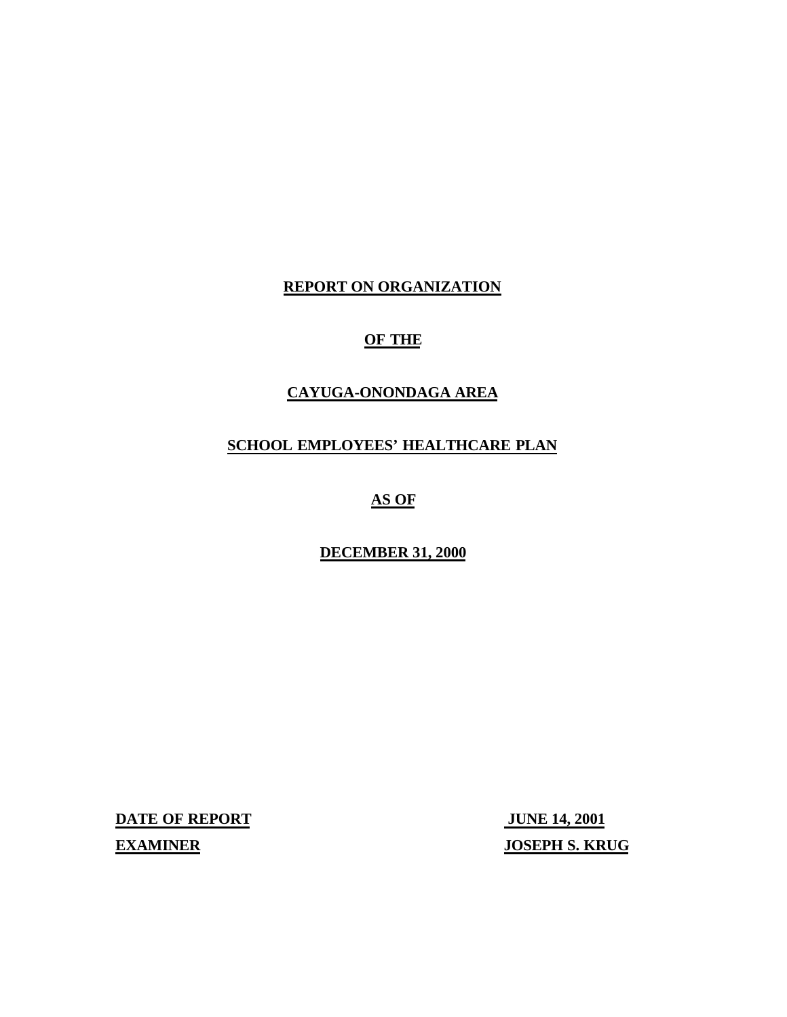# **REPORT ON ORGANIZATION**

# **OF THE**

# **CAYUGA-ONONDAGA AREA**

# **SCHOOL EMPLOYEES' HEALTHCARE PLAN**

# **AS OF**

# **DECEMBER 31, 2000**

**DATE OF REPORT JUNE 14, 2001** 

**EXAMINER** JOSEPH S. KRUG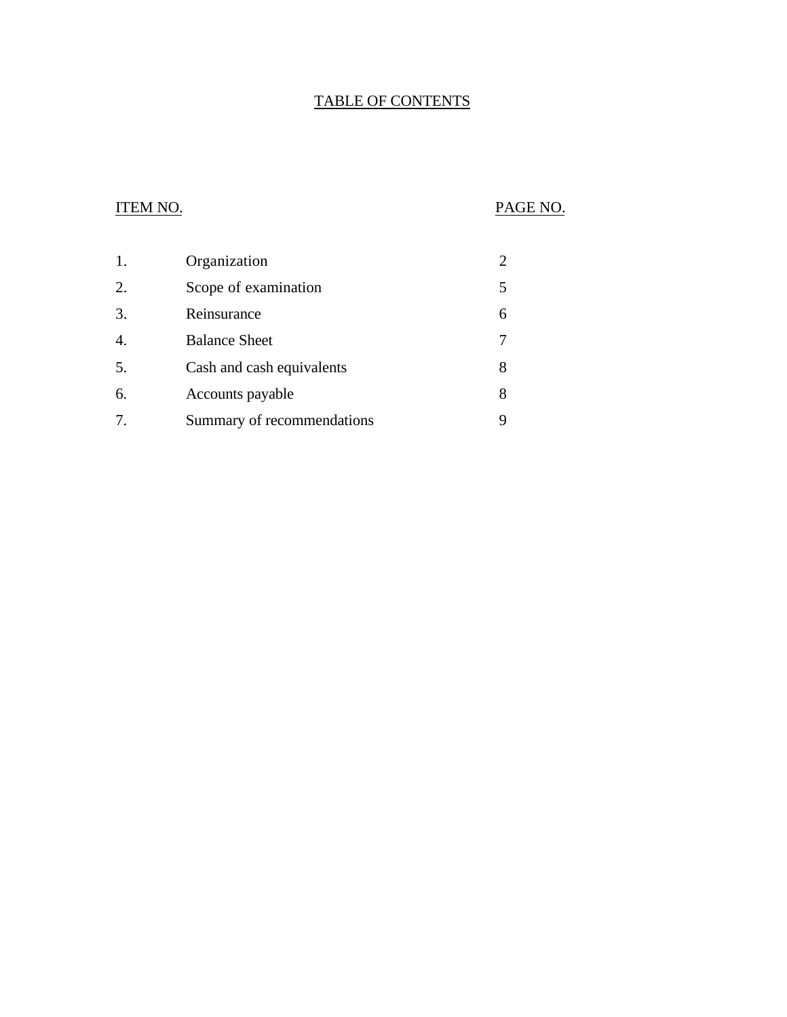# TABLE OF CONTENTS

# ITEM NO. PAGE NO.

| 1. | Organization               |   |
|----|----------------------------|---|
| 2. | Scope of examination       |   |
| 3. | Reinsurance                | 6 |
| 4. | <b>Balance Sheet</b>       |   |
| 5. | Cash and cash equivalents  | 8 |
| 6. | Accounts payable           | 8 |
| 7. | Summary of recommendations |   |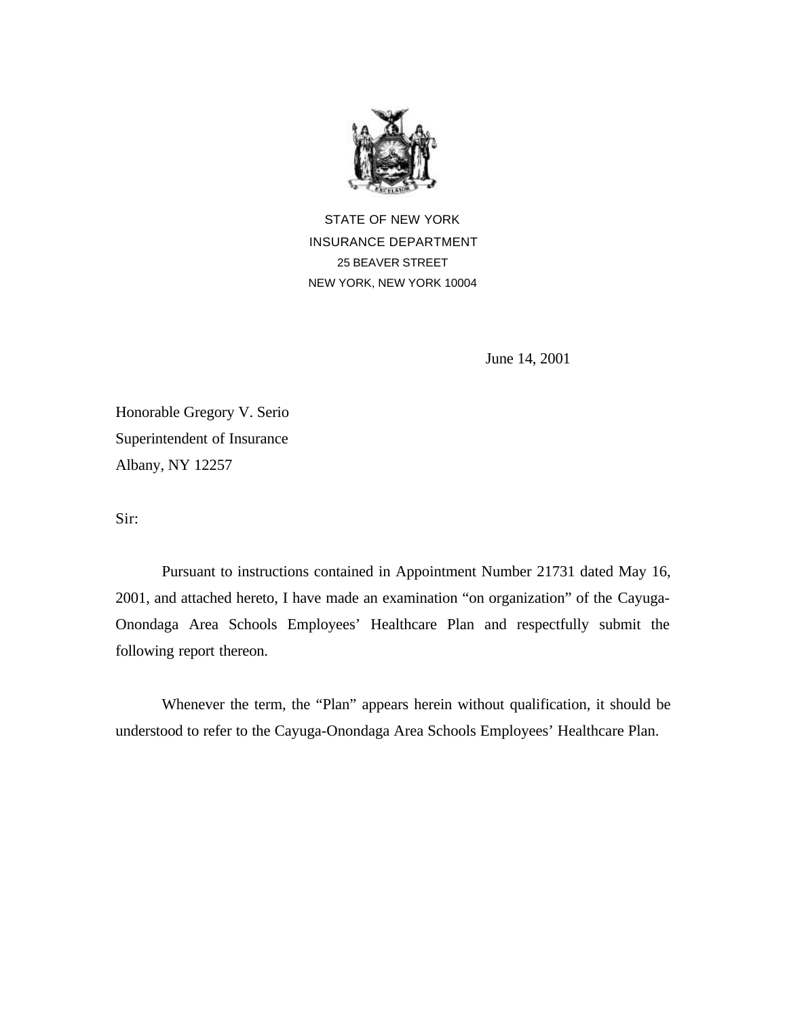

STATE OF NEW YORK INSURANCE DEPARTMENT 25 BEAVER STREET NEW YORK, NEW YORK 10004

June 14, 2001

Honorable Gregory V. Serio Superintendent of Insurance Albany, NY 12257

Sir:

Pursuant to instructions contained in Appointment Number 21731 dated May 16, 2001, and attached hereto, I have made an examination "on organization" of the Cayuga-Onondaga Area Schools Employees' Healthcare Plan and respectfully submit the following report thereon.

Whenever the term, the "Plan" appears herein without qualification, it should be understood to refer to the Cayuga-Onondaga Area Schools Employees' Healthcare Plan.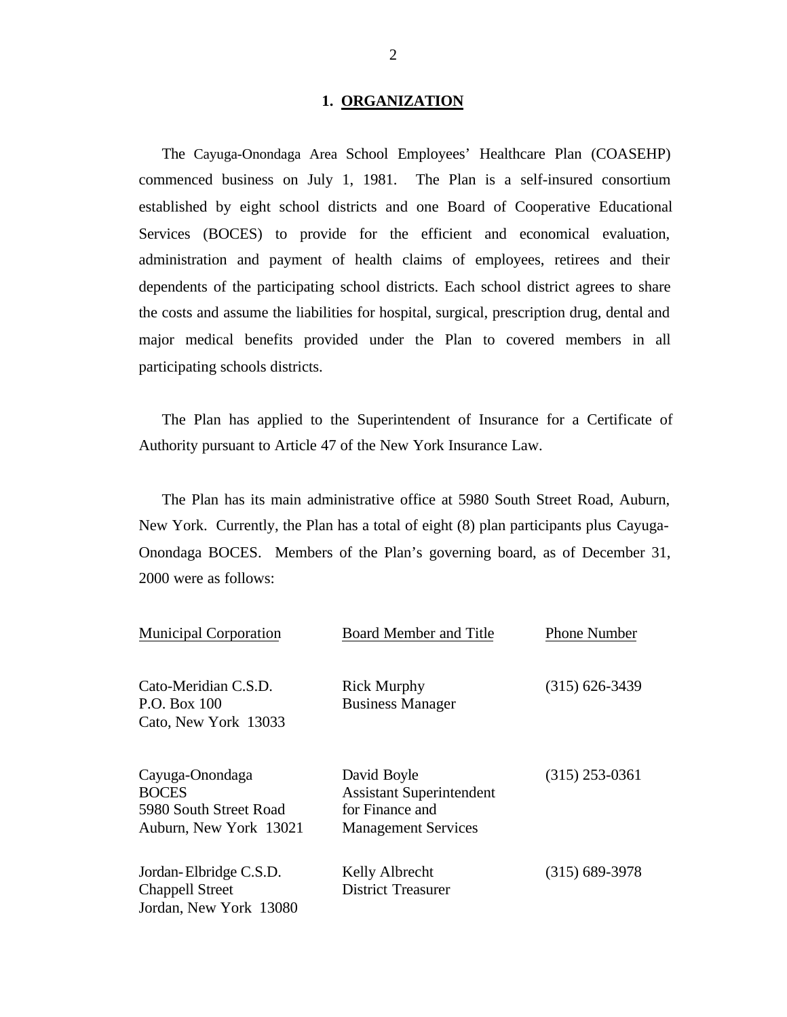### **1. ORGANIZATION**

<span id="page-3-0"></span>The Cayuga-Onondaga Area School Employees' Healthcare Plan (COASEHP) commenced business on July 1, 1981. The Plan is a self-insured consortium established by eight school districts and one Board of Cooperative Educational Services (BOCES) to provide for the efficient and economical evaluation, administration and payment of health claims of employees, retirees and their dependents of the participating school districts. Each school district agrees to share the costs and assume the liabilities for hospital, surgical, prescription drug, dental and major medical benefits provided under the Plan to covered members in all participating schools districts.

The Plan has applied to the Superintendent of Insurance for a Certificate of Authority pursuant to Article 47 of the New York Insurance Law.

The Plan has its main administrative office at 5980 South Street Road, Auburn, New York. Currently, the Plan has a total of eight (8) plan participants plus Cayuga-Onondaga BOCES. Members of the Plan's governing board, as of December 31, 2000 were as follows:

| <b>Municipal Corporation</b>                                                        | <b>Board Member and Title</b>                                                                   | <b>Phone Number</b> |
|-------------------------------------------------------------------------------------|-------------------------------------------------------------------------------------------------|---------------------|
| Cato-Meridian C.S.D.<br>P.O. Box 100<br>Cato, New York 13033                        | <b>Rick Murphy</b><br><b>Business Manager</b>                                                   | $(315)$ 626-3439    |
| Cayuga-Onondaga<br><b>BOCES</b><br>5980 South Street Road<br>Auburn, New York 13021 | David Boyle<br><b>Assistant Superintendent</b><br>for Finance and<br><b>Management Services</b> | $(315)$ 253-0361    |
| Jordan-Elbridge C.S.D.<br><b>Chappell Street</b><br>Jordan, New York 13080          | Kelly Albrecht<br><b>District Treasurer</b>                                                     | $(315)$ 689-3978    |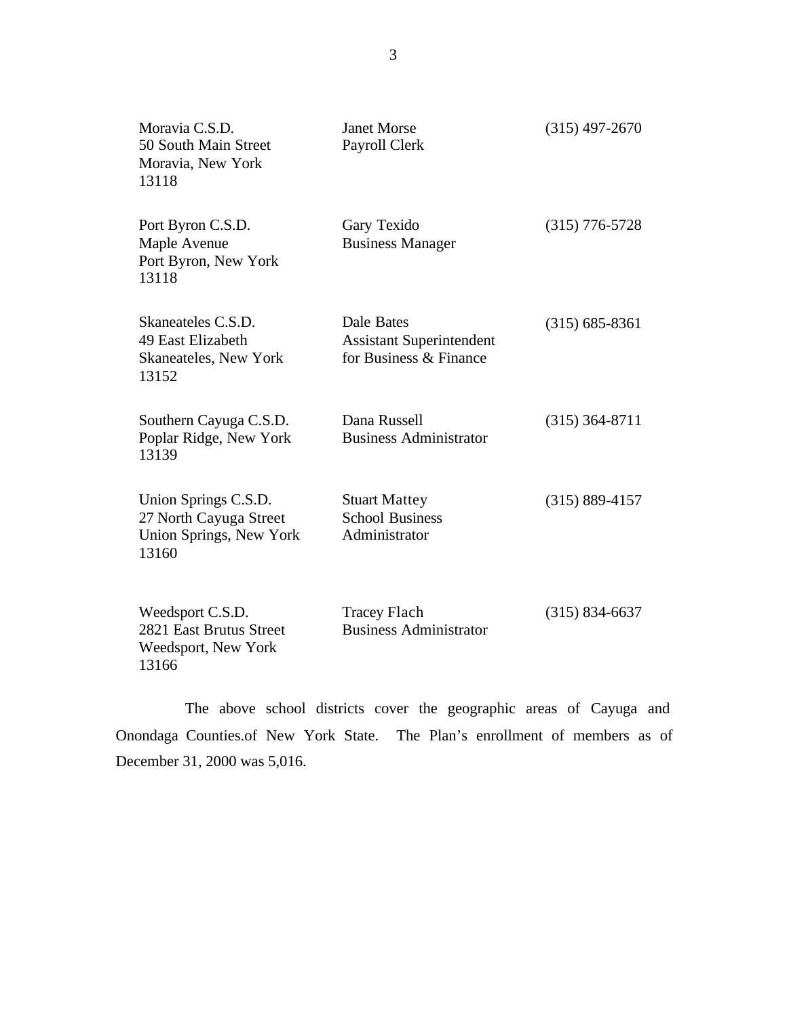| Moravia C.S.D.<br>50 South Main Street<br>Moravia, New York<br>13118               | <b>Janet Morse</b><br>Payroll Clerk                                     | $(315)$ 497-2670   |
|------------------------------------------------------------------------------------|-------------------------------------------------------------------------|--------------------|
| Port Byron C.S.D.<br>Maple Avenue<br>Port Byron, New York<br>13118                 | Gary Texido<br><b>Business Manager</b>                                  | $(315)$ 776-5728   |
| Skaneateles C.S.D.<br>49 East Elizabeth<br>Skaneateles, New York<br>13152          | Dale Bates<br><b>Assistant Superintendent</b><br>for Business & Finance | $(315)$ 685-8361   |
| Southern Cayuga C.S.D.<br>Poplar Ridge, New York<br>13139                          | Dana Russell<br><b>Business Administrator</b>                           | $(315)$ 364-8711   |
| Union Springs C.S.D.<br>27 North Cayuga Street<br>Union Springs, New York<br>13160 | <b>Stuart Mattey</b><br><b>School Business</b><br>Administrator         | $(315) 889 - 4157$ |
| Weedsport C.S.D.<br>2821 East Brutus Street<br>Weedsport, New York<br>13166        | <b>Tracey Flach</b><br><b>Business Administrator</b>                    | $(315) 834 - 6637$ |

The above school districts cover the geographic areas of Cayuga and Onondaga [Counties.of](https://Counties.of) New York State. The Plan's enrollment of members as of December 31, 2000 was 5,016.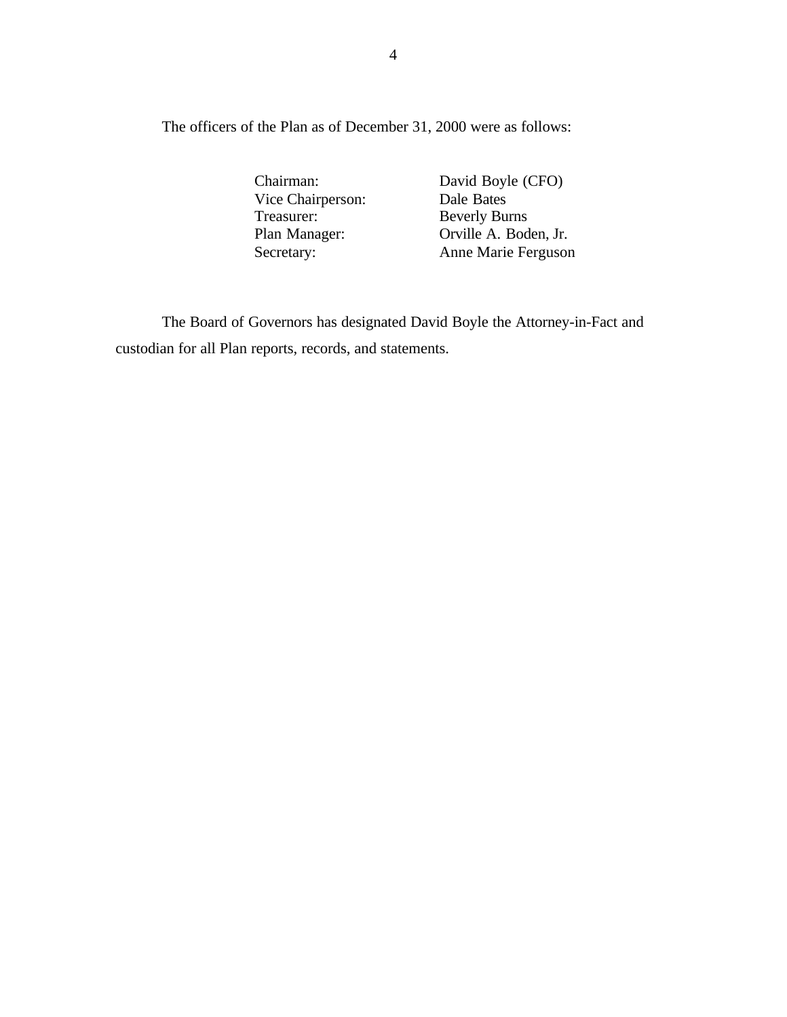The officers of the Plan as of December 31, 2000 were as follows:

Chairman: David Boyle (CFO) Vice Chairperson: Dale Bates<br>Treasurer: Beverly Bu Treasurer: Beverly Burns<br>
Plan Manager: Christen A. Bod Orville A. Boden, Jr. Secretary: Anne Marie Ferguson

The Board of Governors has designated David Boyle the Attorney-in-Fact and custodian for all Plan reports, records, and statements.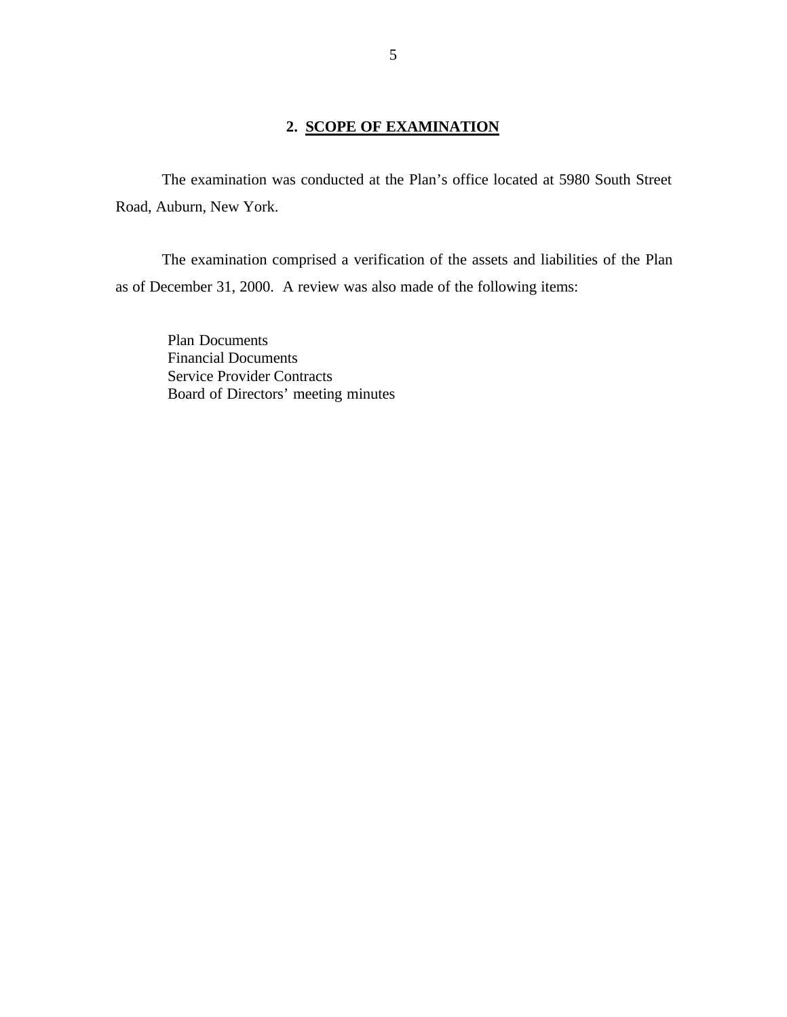## **2. SCOPE OF EXAMINATION**

<span id="page-6-0"></span>The examination was conducted at the Plan's office located at 5980 South Street Road, Auburn, New York.

The examination comprised a verification of the assets and liabilities of the Plan as of December 31, 2000. A review was also made of the following items:

Plan Documents Financial Documents Service Provider Contracts Board of Directors' meeting minutes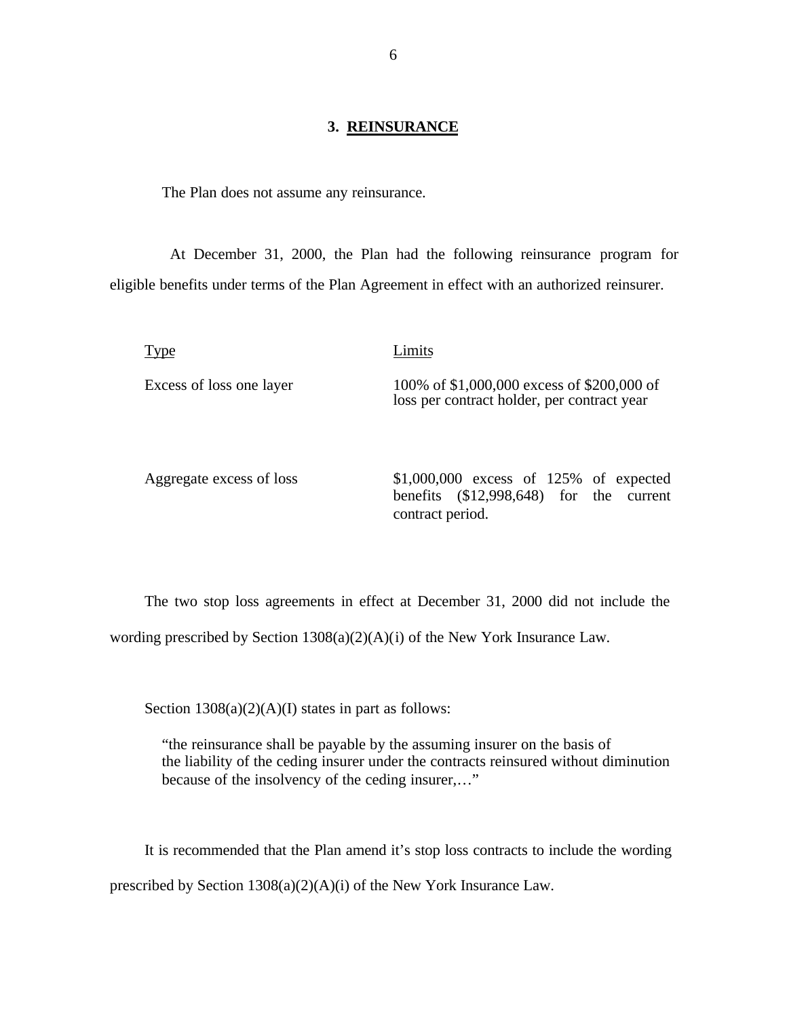### **3. REINSURANCE**

<span id="page-7-0"></span>The Plan does not assume any reinsurance.

 At December 31, 2000, the Plan had the following reinsurance program for eligible benefits under terms of the Plan Agreement in effect with an authorized reinsurer.

Type Limits Excess of loss one layer 100% of \$1,000,000 excess of \$200,000 of loss per contract holder, per contract year

Aggregate excess of loss \$1,000,000 excess of 125% of expected benefits (\$12,998,648) for the current contract period.

The two stop loss agreements in effect at December 31, 2000 did not include the wording prescribed by Section 1308(a)(2)(A)(i) of the New York Insurance Law.

Section  $1308(a)(2)(A)(I)$  states in part as follows:

"the reinsurance shall be payable by the assuming insurer on the basis of the liability of the ceding insurer under the contracts reinsured without diminution because of the insolvency of the ceding insurer,…"

It is recommended that the Plan amend it's stop loss contracts to include the wording prescribed by Section 1308(a)(2)(A)(i) of the New York Insurance Law.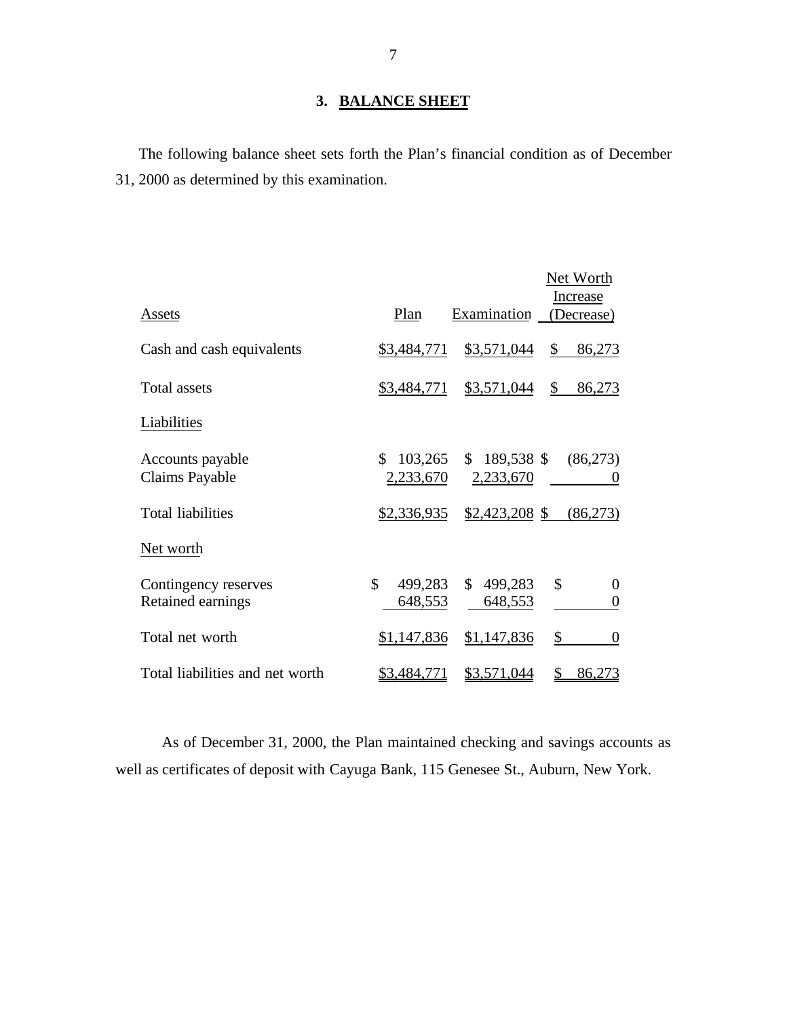# **3. BALANCE SHEET**

The following balance sheet sets forth the Plan's financial condition as of December 31, 2000 as determined by this examination.

| Assets                                    | Plan                       | Examination                | Net Worth<br>Increase<br>(Decrease) |
|-------------------------------------------|----------------------------|----------------------------|-------------------------------------|
| Cash and cash equivalents                 | \$3,484,771                | \$3,571,044                | \$<br>86,273                        |
| <b>Total assets</b>                       | \$3,484,771                | \$3,571,044                | \$<br>86,273                        |
| Liabilities                               |                            |                            |                                     |
| Accounts payable<br>Claims Payable        | \$<br>103,265<br>2,233,670 | $$189,538$ \$<br>2,233,670 | (86,273)<br>0                       |
| <b>Total liabilities</b>                  | \$2,336,935                | $$2,423,208$ \$            | (86,273)                            |
| Net worth                                 |                            |                            |                                     |
| Contingency reserves<br>Retained earnings | \$<br>499,283<br>648,553   | \$499,283<br>648,553       | \$<br>0<br>$\boldsymbol{0}$         |
| Total net worth                           | \$1,147,836                | \$1,147,836                | \$<br>$\overline{0}$                |
| Total liabilities and net worth           | \$3,484,771                | <u>\$3,571,044</u>         | \$<br>86,273                        |

As of December 31, 2000, the Plan maintained checking and savings accounts as well as certificates of deposit with Cayuga Bank, 115 Genesee St., Auburn, New York.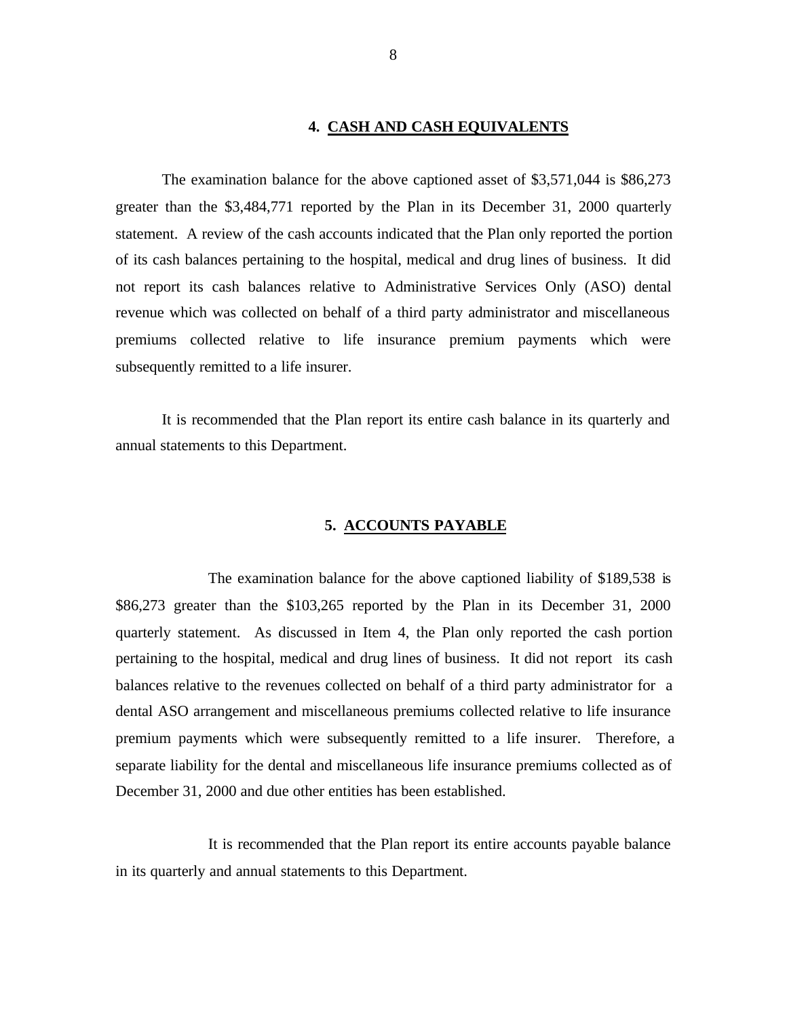### **4. CASH AND CASH EQUIVALENTS**

<span id="page-9-0"></span>The examination balance for the above captioned asset of \$3,571,044 is \$86,273 greater than the \$3,484,771 reported by the Plan in its December 31, 2000 quarterly statement. A review of the cash accounts indicated that the Plan only reported the portion of its cash balances pertaining to the hospital, medical and drug lines of business. It did not report its cash balances relative to Administrative Services Only (ASO) dental revenue which was collected on behalf of a third party administrator and miscellaneous premiums collected relative to life insurance premium payments which were subsequently remitted to a life insurer.

It is recommended that the Plan report its entire cash balance in its quarterly and annual statements to this Department.

### **5. ACCOUNTS PAYABLE**

The examination balance for the above captioned liability of \$189,538 is \$86,273 greater than the \$103,265 reported by the Plan in its December 31, 2000 quarterly statement. As discussed in Item 4, the Plan only reported the cash portion pertaining to the hospital, medical and drug lines of business. It did not report its cash balances relative to the revenues collected on behalf of a third party administrator for a dental ASO arrangement and miscellaneous premiums collected relative to life insurance premium payments which were subsequently remitted to a life insurer. Therefore, a separate liability for the dental and miscellaneous life insurance premiums collected as of December 31, 2000 and due other entities has been established.

It is recommended that the Plan report its entire accounts payable balance in its quarterly and annual statements to this Department.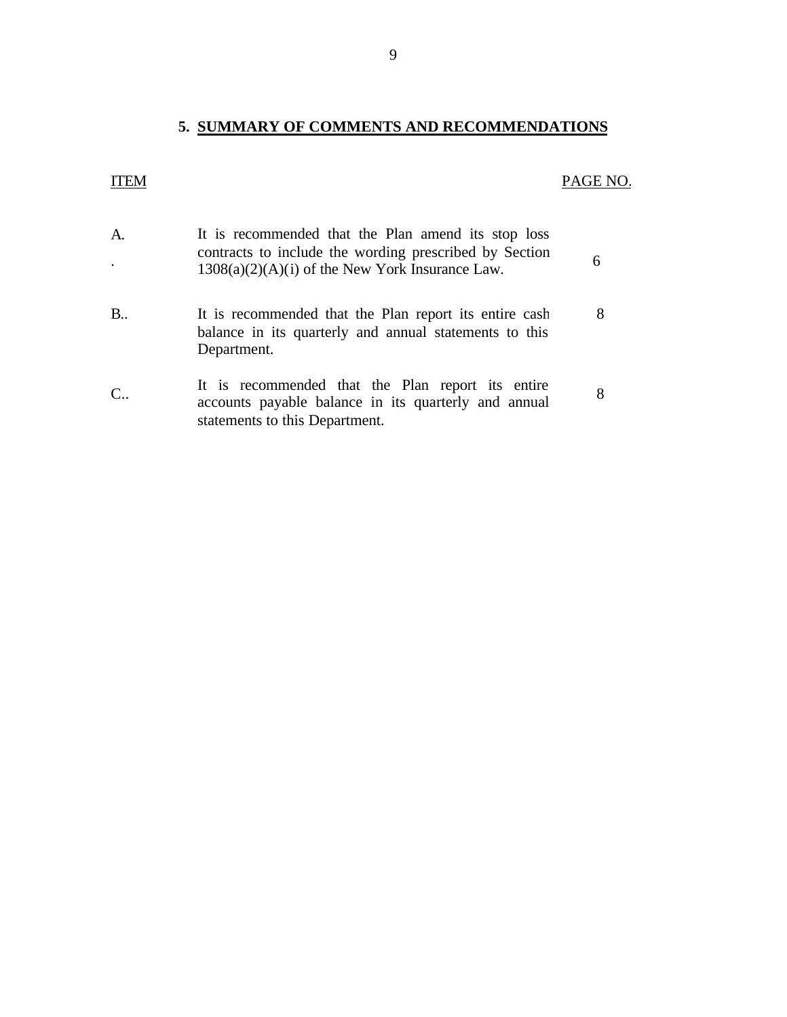# **5. SUMMARY OF COMMENTS AND RECOMMENDATIONS**

# <span id="page-10-0"></span>ITEM PAGE NO.

| A.<br>$\bullet$ | It is recommended that the Plan amend its stop loss<br>contracts to include the wording prescribed by Section<br>$1308(a)(2)(A)(i)$ of the New York Insurance Law. | 6 |
|-----------------|--------------------------------------------------------------------------------------------------------------------------------------------------------------------|---|
| B               | It is recommended that the Plan report its entire cash<br>balance in its quarterly and annual statements to this<br>Department.                                    |   |
| $C_{\cdot}$ .   | It is recommended that the Plan report its entire<br>accounts payable balance in its quarterly and annual<br>statements to this Department.                        | 8 |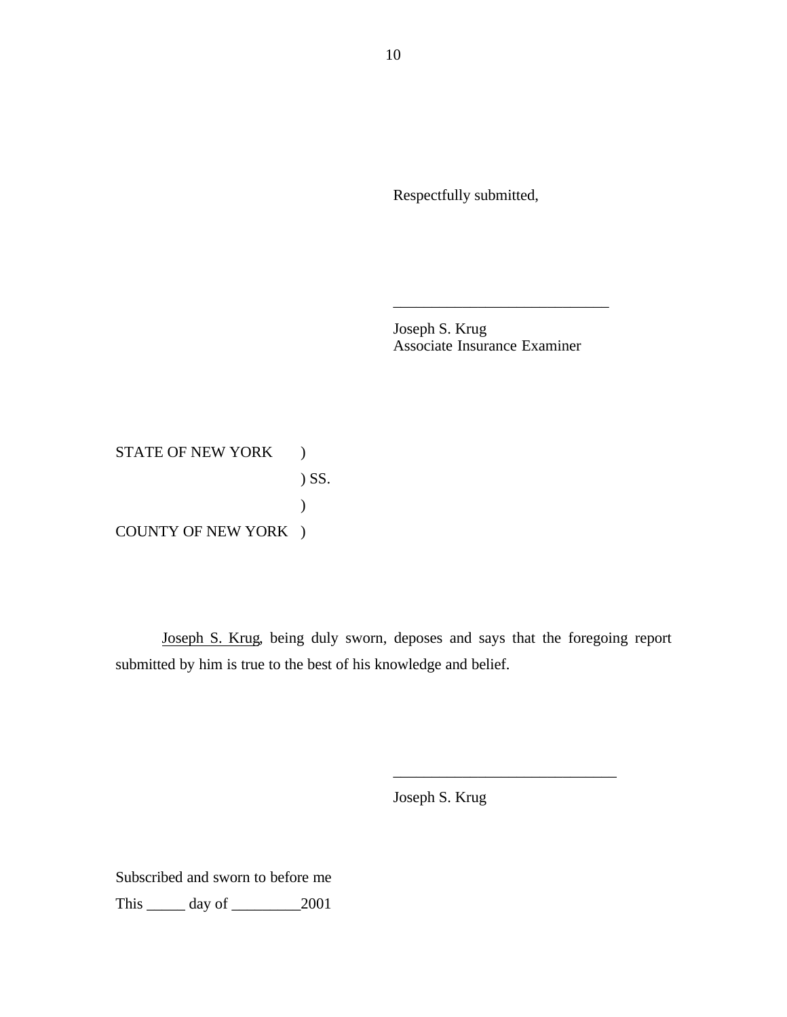Respectfully submitted,

Joseph S. Krug Associate Insurance Examiner

\_\_\_\_\_\_\_\_\_\_\_\_\_\_\_\_\_\_\_\_\_\_\_\_\_\_\_\_

STATE OF NEW YORK ) ) SS.  $\mathcal{L}$ COUNTY OF NEW YORK )

Joseph S. Krug, being duly sworn, deposes and says that the foregoing report submitted by him is true to the best of his knowledge and belief.

Joseph S. Krug

\_\_\_\_\_\_\_\_\_\_\_\_\_\_\_\_\_\_\_\_\_\_\_\_\_\_\_\_\_

Subscribed and sworn to before me

This \_\_\_\_\_ day of \_\_\_\_\_\_\_\_\_2001